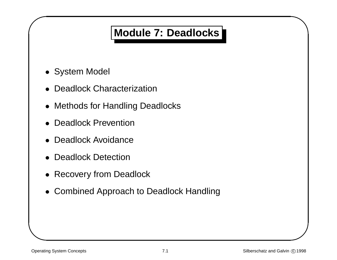### **Module 7: Deadlocks**

• System Model

 $\sqrt{2}$ 

- •Deadlock Characterization
- & • Methods for Handling Deadlocks
	- Deadlock Prevention
	- Deadlock Avoidance
	- Deadlock Detection
	- Recovery from Deadlock
	- Combined Approach to Deadlock Handling

 $\bigwedge$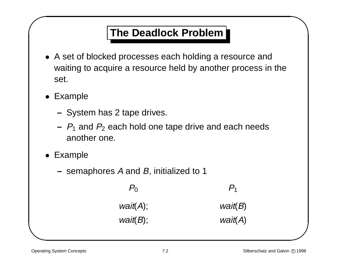### **The Deadlock Problem**

- & • A set of blocked processes each holding <sup>a</sup> resource and waiting to acquire <sup>a</sup> resource held by another process in the set.
	- Example

 $\sqrt{2}$ 

- **–**– System has 2 tape drives.
- **–** P1 and P2 each hold one tape drive and each needs another one.
- Example
	- **–** semaphores A and B, initialized to 1

 $P_0$   $P_1$  $wait(A);$  wait(B)  $wait(B);$  wait(A)  $\bigwedge$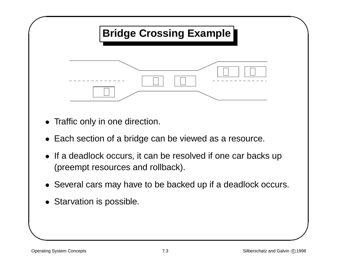

- Traffic only in one direction.
- Each section of <sup>a</sup> bridge can be viewed as <sup>a</sup> resource.
- If <sup>a</sup> deadlock occurs, it can be resolved if one car backs up (preempt resources and rollback).
- Several cars may have to be backed up if <sup>a</sup> deadlock occurs.
- Starvation is possible.

 $\bigwedge$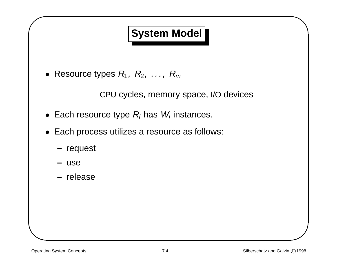### **System Model**

&  $\bullet\,$  Resource types  $R_1,\;R_2,\;\ldots,\;R_m$ 

CPU cycles, memory space, I/O devices

- Each resource type  $R_i$  has  $W_i$  instances.
- Each process utilizes <sup>a</sup> resource as follows:
	- **–** request
	- **–** use

 $\sqrt{2}$ 

**–** release

 $\bigwedge$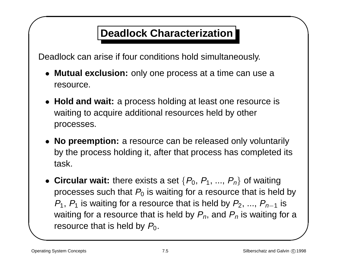### **Deadlock Characterization**

Deadlock can arise if four conditions hold simultaneously.

- **Mutual exclusion:** only one process at <sup>a</sup> time can use <sup>a</sup> resource.
- **Hold and wait:** <sup>a</sup> process holding at least one resource is waiting to acquire additional resources held by other processes.
- **No preemption:** <sup>a</sup> resource can be released only voluntarily by the process holding it, after that process has completed its task.
- &  $\begin{pmatrix} 1 \\ 1 \\ 2 \end{pmatrix}$  $\bullet$  Circular wait: there exists a set  $\{P_0, P_1, ..., P_n\}$  of waiting processes such that  $P_0$  is waiting for a resource that is held by  $P_1$ ,  $P_1$  is waiting for a resource that is held by  $P_2$ , ...,  $P_{n-1}$  is waiting for a resource that is held by  $P_n$ , and  $P_n$  is waiting for a resource that is held by  $P_0$ .

 $\sqrt{2}$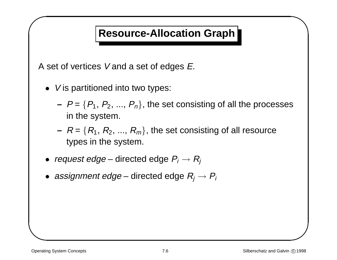### **Resource-Allocation Graph**

& A set of vertices V and <sup>a</sup> set of edges E.

- V is partitioned into two types:
- % **–** $\mathsf{P} = \{\mathsf{P}_1,\, \mathsf{P}_2,\, ...,\, \mathsf{P}_n\}$ , the set consisting of all the processes in the system.
	- **–** $\mathsf{P} = \{\mathsf{R}_1, \, \mathsf{R}_2, \, ... , \, \mathsf{R}_m\}$ , the set consisting of all resource types in the system.
- $\bullet\hspace{1mm}$  request edge directed edge  $P_i\rightarrow R_j$
- $\bullet~$  assignment edge directed edge  $R_j \rightarrow P_i$

 $\sqrt{2}$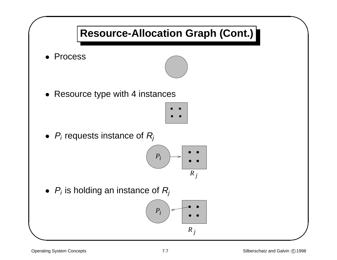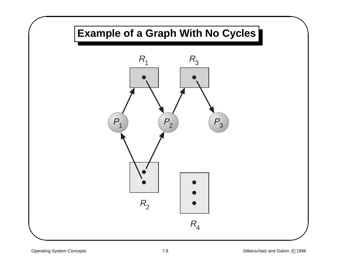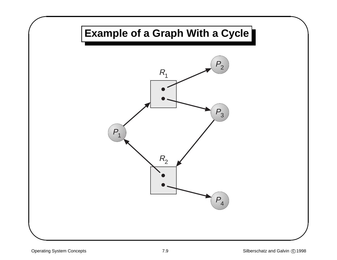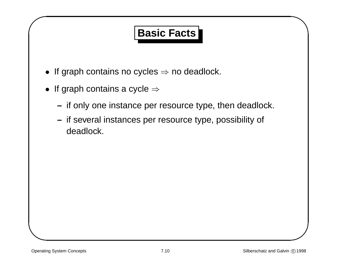### **Basic Facts**

- $\bullet\,$  If graph contains no cycles  $\Rightarrow$  no deadlock.
- &  $\bullet\,$  If graph contains a cycle  $\Rightarrow\,$ 
	- **–** $\hspace{0.1mm}-\hspace{0.1mm}$  if only one instance per resource type, then deadlock.
	- **–** $\hbox{{\sf \textbf{--}}}$  if several instances per resource type, possibility of deadlock.

 $\sqrt{2}$ 

 $\bigwedge$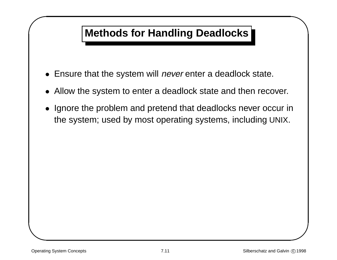### **Methods for Handling Deadlocks**

- $\bullet\,$  Ensure that the system will *never* enter a deadlock state.
- Allow the system to enter <sup>a</sup> deadlock state and then recover.
- & % • Ignore the problem and pretend that deadlocks never occur in the system; used by most operating systems, including UNIX.

 $\sqrt{2}$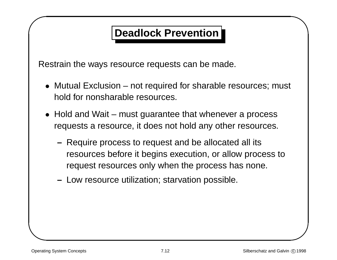### **Deadlock Prevention**

& Restrain the ways resource requests can be made.

- % • Mutual Exclusion – not required for sharable resources; must hold for nonsharable resources.
- Hold and Wait must guarantee that whenever <sup>a</sup> process requests <sup>a</sup> resource, it does not hold any other resources.
	- **–** Require process to request and be allocated all its resources before it begins execution, or allow process to request resources only when the process has none.
	- **–** Low resource utilization; starvation possible.

 $\sqrt{2}$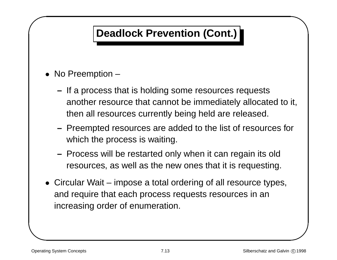### **Deadlock Prevention (Cont.)**

• No Preemption –

 $\sqrt{2}$ 

- $\begin{matrix} \n\vdots \\
\vdots \\
\vdots\n\end{matrix}$ **–** $\hbox{{\sf \textbf{--}}}$  If a process that is holding some resources requests another resource that cannot be immediately allocated to it, then all resources currently being held are released.
- **–**- Preempted resources are added to the list of resources for which the process is waiting.
- **–** Process will be restarted only when it can regain its old resources, as well as the new ones that it is requesting.
- & • Circular Wait – impose <sup>a</sup> total ordering of all resource types, and require that each process requests resources in an increasing order of enumeration.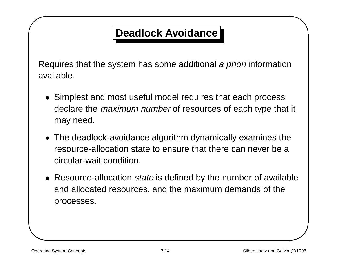### **Deadlock Avoidance**

& Requires that the system has some additional <sup>a</sup> priori information available.

- Simplest and most useful model requires that each process declare the *maximum number* of resources of each type that it may need.
- The deadlock-avoidance algorithm dynamically examines the resource-allocation state to ensure that there can never be a circular-wait condition.
- $\frac{1}{\pi}$ <br> $\frac{1}{\pi}$ • Resource-allocation state is defined by the number of available and allocated resources, and the maximum demands of the processes.

 $\sqrt{2}$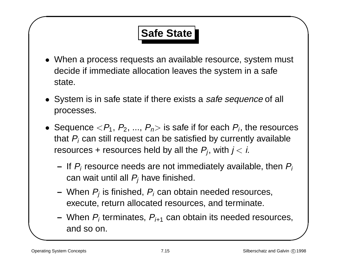# **Safe State**

- & • When <sup>a</sup> process requests an available resource, system must decide if immediate allocation leaves the system in <sup>a</sup> safe state.
	- System is in safe state if there exists a safe sequence of all processes.
- t<br>  $\begin{pmatrix} 1 \\ 1 \\ 2 \\ 3 \\ 4 \end{pmatrix}$  $\bullet\,$  Sequence  $<\!\!P_1,\,P_2,\,...,\,P_n\!\!>$  is safe if for each  $P_i$ , the resources that  $P_i$  can still request can be satisfied by currently available resources + resources held by all the  $P_i$ , with  $j < i$ .
	- **–**– If  $P_i$  resource needs are not immediately available, then  $P_i$ can wait until all  $P_i$  have finished.
	- **–**– When  $P_j$  is finished,  $P_i$  can obtain needed resources, execute, return allocated resources, and terminate.
	- **–** When Pi terminates, Pi+1 can obtain its needed resources, and so on.

 $\sqrt{2}$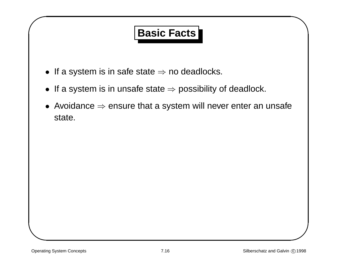### **Basic Facts**

- $\bullet\,$  If a system is in safe state  $\Rightarrow$  no deadlocks.
- $\bullet\,$  If a system is in unsafe state  $\Rightarrow$  possibility of deadlock.
- & %  $\bullet\,$  Avoidance  $\Rightarrow$  ensure that a system will never enter an unsafe state.

 $\sqrt{2}$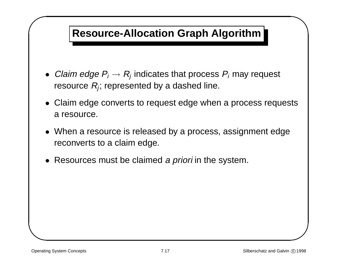### **Resource-Allocation Graph Algorithm**

- $\bullet~$  *Claim edge*  $P_i \rightarrow R_j$  indicates that process  $P_i$  may request resource  $R_i$ ; represented by a dashed line.
- &  $\begin{array}{c}\n\text{its}\n\end{array}$ • Claim edge converts to request edge when <sup>a</sup> process requests a resource.
	- When <sup>a</sup> resource is released by <sup>a</sup> process, assignment edge reconverts to <sup>a</sup> claim edge.
	- Resources must be claimed a priori in the system.

 $\sqrt{2}$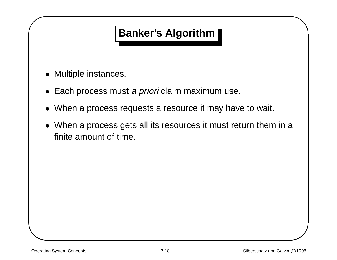### **Banker's Algorithm**

• Multiple instances.

 $\sqrt{2}$ 

- Each process must *a priori* claim maximum use.
- •When <sup>a</sup> process requests <sup>a</sup> resource it may have to wait.
- & % • When <sup>a</sup> process gets all its resources it must return them in <sup>a</sup> finite amount of time.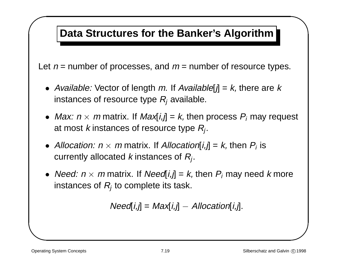### **Data Structures for the Banker's Algorithm**

& Let  $n =$  number of processes, and  $m =$  number of resource types.

- Available: Vector of length m. If Available[j] =  $k$ , there are  $k$ instances of resource type  $R_i$  available.
- $\begin{pmatrix} 1 & 1 \\ 1 & 1 \\ 1 & 1 \end{pmatrix}$  $\bullet$  *Max: n*  $\times$  *m* matrix. If *Max*[*i,j*] = *k,* then process  $P_i$  may request at most k instances of resource type  $R_i$ .
- Allocation:  $n \times m$  matrix. If Allocation[i,j] = k, then  $P_i$  is currently allocated k instances of  $R_i$ .
- *Need: n*  $\times$  *m* matrix. If *Need[i,j] = k,* then  $P_i$  may need *k* more instances of  $R_i$  to complete its task.

$$
Need[i,j] = Max[i,j] - Allocation[i,j].
$$

 $\sqrt{2}$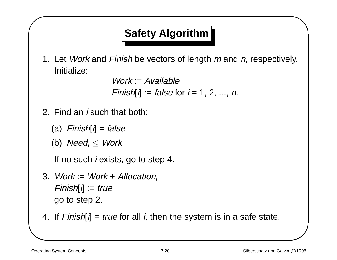# **Safety Algorithm**

 $\begin{bmatrix} 1 & 1 \\ 1 & 1 \\ 1 & 1 \end{bmatrix}$ 1. Let *Work* and *Finish* be vectors of length *m* and *n*, respectively. Initialize:

 $Work = Available$ Finish[i] := false for  $i = 1, 2, ..., n$ .

- 2. Find an i such that both:
	- (a)  $Finally[i] = false$
	- (b) Need<sub>i</sub>  $\leq$  Work

If no such *i* exists, go to step 4.

- $\begin{array}{c}\n1 \\
2 \\
3\n\end{array}$ 3. Work := Work + Allocation;  $Finally$   $= true$ go to step 2.
	- 4. If  $Finish[i] = true$  for all *i*, then the system is in a safe state.

 $\sqrt{2}$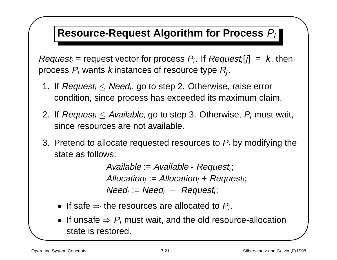### **Resource-Request Algorithm for Process** Pi

 $R_{p1}$   $R_{p2}$   $3$   $3$  $Request_i$  = request vector for process  $P_i$ . If  $Request_i[j] = k$ , then process  $P_i$  wants k instances of resource type  $R_i$ .

- 1. If  $Request_i \leq Need_i$ , go to step 2. Otherwise, raise error condition, since process has exceeded its maximum claim.
- 2. If Request<sub>i</sub>  $\leq$  Available, go to step 3. Otherwise,  $P_i$  must wait, since resources are not available.
- % 3. Pretend to allocate requested resources to  $P_i$  by modifying the state as follows:

Available :=  $Available - Request_i;$ Allocation<sub>i</sub> := Allocation<sub>i</sub> + Request<sub>i</sub>;  $Need_i := Need_i - Request_i;$ 

- If safe  $\Rightarrow$  the resources are allocated to  $P_i$ .
- $\bullet\,$  If unsafe  $\Rightarrow$   $P_i$  must wait, and the old resource-allocation state is restored.

 $\sqrt{2}$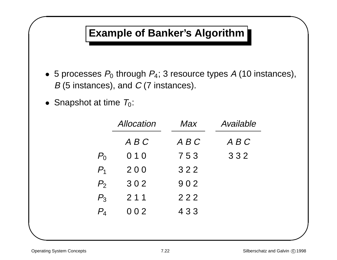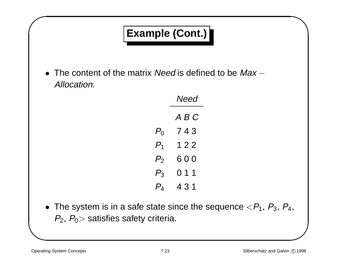| <b>Example (Cont.)</b>                                                                                                                                      |                          |
|-------------------------------------------------------------------------------------------------------------------------------------------------------------|--------------------------|
|                                                                                                                                                             |                          |
| Allocation.                                                                                                                                                 | <b>Need</b>              |
|                                                                                                                                                             | ABC                      |
|                                                                                                                                                             | $P_0$ 743                |
|                                                                                                                                                             | $P_1$ 122                |
|                                                                                                                                                             | $P_2$ 600                |
|                                                                                                                                                             | $P_3$ 0 1 1<br>$P_4$ 431 |
| • The content of the matrix <i>Need</i> is defined to be $Max -$<br>• The system is in a safe state since the sequence $\langle P_1, P_3, P_4, P_5 \rangle$ |                          |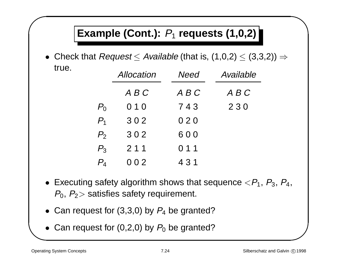## **Example (Cont.):** P1 **requests (1,0,2)**

 $\bullet~$  Check that  $Request \leq Available$  (that is,  $(1,0,2) \leq (3,3,2)) \Rightarrow$ true.

|                | Allocation | Need  | Available |
|----------------|------------|-------|-----------|
|                | A B C      | A B C | A B C     |
| $P_0$          | 010        | 743   | 230       |
| $P_1$          | 302        | 020   |           |
| P <sub>2</sub> | 302        | 600   |           |
| $P_3$          | 211        | 011   |           |
| $P_4$          | 002        | 4 3 1 |           |

- $\begin{bmatrix} 1 & 1 \\ 1 & 1 \\ 1 & 1 \end{bmatrix}$  $\begin{pmatrix} 1 & 1 \\ 1 & 1 \\ 1 & 1 \end{pmatrix}$  $\bullet~$  Executing safety algorithm shows that sequence  $<\!P_1, \, P_3, \, P_4, \,$  $P_0$ ,  $P_2$  satisfies safety requirement.
	- Can request for  $(3,3,0)$  by  $P_4$  be granted?
	- Can request for (0,2,0) by  $P_0$  be granted?

 $\sqrt{2}$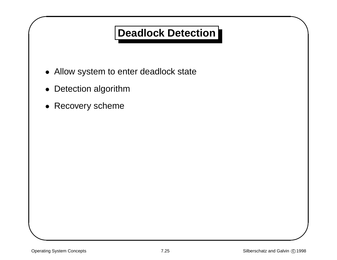### **Deadlock Detection**

- Allow system to enter deadlock state
- Detection algorithm

 $\sqrt{2}$ 

& • Recovery scheme  $\bigwedge$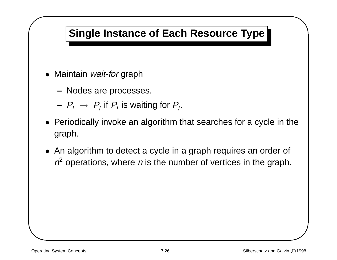### **Single Instance of Each Resource Type**

- Maintain wait-for graph
	- **–** Nodes are processes.
	- $\hskip15pt \,$   $P_i \, \rightarrow \, P_j$  if  $P_i$  is waiting for  $P_j.$
- &  $\begin{array}{c}\n\bullet \\
\bullet \\
\bullet\n\end{array}$ • Periodically invoke an algorithm that searches for <sup>a</sup> cycle in the graph.
	- An algorithm to detect <sup>a</sup> cycle in <sup>a</sup> graph requires an order of  $n^2$  operations, where *n* is the number of vertices in the graph.

 $\sqrt{2}$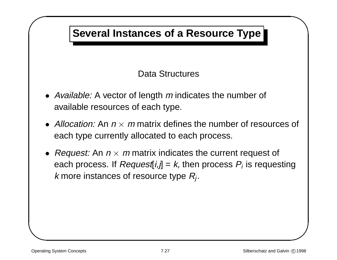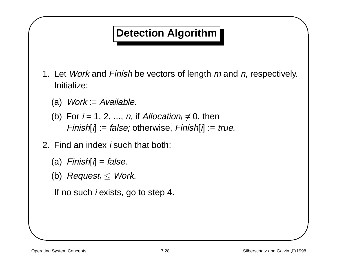### **Detection Algorithm**

- &  $\begin{bmatrix} 1 & 1 \\ 1 & 1 \\ 1 & 1 \end{bmatrix}$ 1. Let *Work* and *Finish* be vectors of length *m* and *n*, respectively. Initialize:
	- (a)  $Work := Available$ .
	- (b) For  $i = 1, 2, ..., n$ , if Allocation<sub>i</sub>  $\neq 0$ , then  $Finally [i] := false;$  otherwise,  $Finally [i] := true.$
	- 2. Find an index i such that both:
		- (a)  $Finish[i] = false$ .
		- (b) Request<sub>i</sub>  $\leq$  Work.

If no such *i* exists, go to step 4.

 $\sqrt{2}$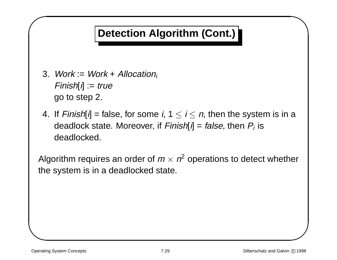### **Detection Algorithm (Cont.)**

- 3. Work := Work + Allocation;  $Finally$   $= true$ go to step 2.
- 4. If Finish[i] = false, for some i,  $1 \le i \le n$ , then the system is in a deadlock state. Moreover, if  $Finish[i] = false$ , then  $P_i$  is deadlocked.

 $\begin{array}{c}\n\mathbf{a} \\
\mathbf{b} \\
\mathbf{c}\n\end{array}$ a  $\begin{bmatrix} 1 \\ -1 \\ 2 \end{bmatrix}$ Algorithm requires an order of  $m \times n^2$  operations to detect whether the system is in <sup>a</sup> deadlocked state.

 $\sqrt{2}$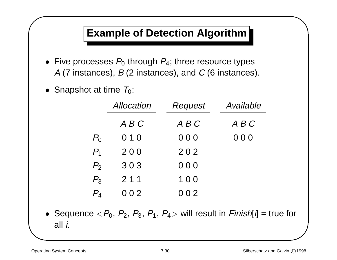### **Example of Detection Algorithm**

- &  $\bullet\,$  Five processes  $P_0$  through  $P_4;$  three resource types A (7 instances),  $B$  (2 instances), and  $C$  (6 instances).
	- $\bullet~$  Snapshot at time  $\, T_{0}$ :

 $\sqrt{2}$ 

|                   | Allocation | <b>Request</b> | Available |
|-------------------|------------|----------------|-----------|
|                   | ABC        | A B C          | A B C     |
| $P_0$             | 010        | 000            | 000       |
| $P_{1}$           | 200        | 202            |           |
| P <sub>2</sub>    | 303        | 000            |           |
| $P_3$             | 211        | 100            |           |
| $P_{\rm \Lambda}$ | 002        | 002            |           |

%  $\bullet\,$  Sequence  $<\!\!P_0,\,P_2,\,P_3,\,P_1,\,P_4\!>$  will result in  $Finish[i]$  = true for all i.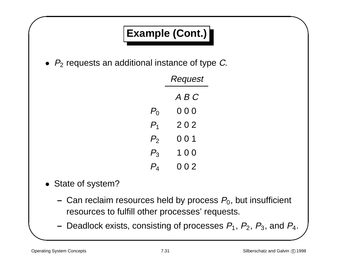# **Example (Cont.)**

& •  $P_2$  requests an additional instance of type C.

|             | Request       |  |
|-------------|---------------|--|
|             | $A \, B \, C$ |  |
| $P_{\rm 0}$ | 000           |  |
| $P_{\rm 1}$ | 202           |  |
| $P_2\,$     | 001           |  |
| $P_{3}$     | 1  0  0       |  |
| $P_{4}$     | 002           |  |

- State of system?
	- **–** $-$  Can reclaim resources held by process  $P_{\rm 0}$ , but insufficient resources to fulfill other processes' requests.
- $\begin{pmatrix} 1 \\ 2 & 3 \\ 4 & 5 \end{pmatrix}$  $-$  Deadlock exists, consisting of processes  $P_1,\,P_2,\,P_3,$  and  $P_4.$

 $\sqrt{2}$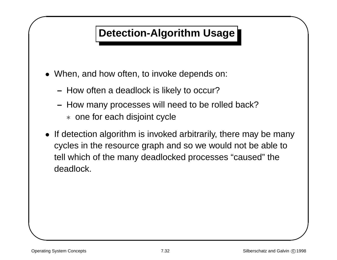### **Detection-Algorithm Usage**

- When, and how often, to invoke depends on:
	- **–** $-$  How often a deadlock is likely to occur?
	- **–** $-$  How many processes will need to be rolled back? ∗ one for each disjoint cycle
- & % • If detection algorithm is invoked arbitrarily, there may be many cycles in the resource graph and so we would not be able to tell which of the many deadlocked processes "caused" the deadlock.

 $\sqrt{2}$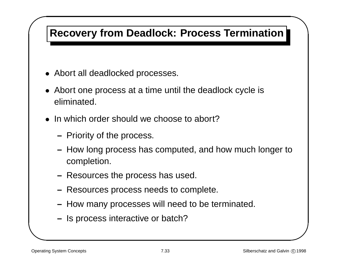### **Recovery from Deadlock: Process Termination**

- Abort all deadlocked processes.
- & • Abort one process at <sup>a</sup> time until the deadlock cycle is eliminated.
	- In which order should we choose to abort?
		- **–** $-$  Priority of the process.
- % **–** How long process has computed, and how much longer to completion.
	- **–** Resources the process has used.
	- **–** Resources process needs to complete.
	- **–** How many processes will need to be terminated.
	- **–** $-$  Is process interactive or batch?

 $\sqrt{2}$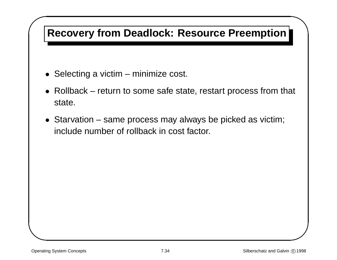# $\sqrt{1}$ **Recovery from Deadlock: Resource Preemption**

- Selecting <sup>a</sup> victim minimize cost.
- % • Rollback – return to some safe state, restart process from that state.
- & • Starvation – same process may always be picked as victim; include number of rollback in cost factor.

 $\bigcap$